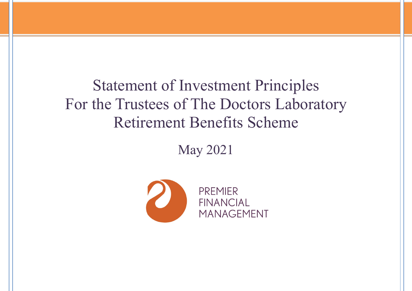# Statement of Investment Principles For the Trustees of The Doctors Laboratory Retirement Benefits Scheme

May 2021

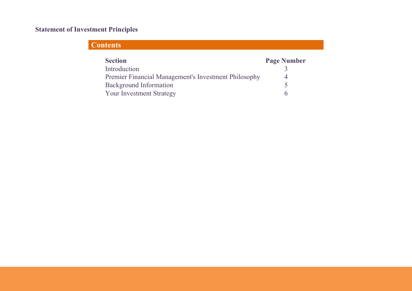# Statement of Investment Principles

# **Contents**

| <b>Section</b>                                       | <b>Page Number</b> |
|------------------------------------------------------|--------------------|
| Introduction                                         |                    |
| Premier Financial Management's Investment Philosophy |                    |
| <b>Background Information</b>                        |                    |
| <b>Your Investment Strategy</b>                      |                    |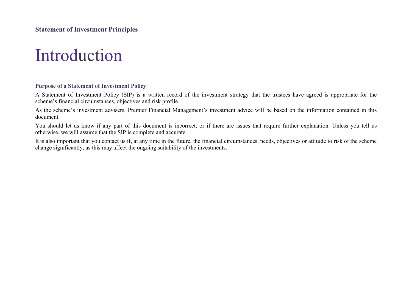# Introduction

# Purpose of a Statement of Investment Policy

A Statement of Investment Policy (SIP) is a written record of the investment strategy that the trustees have agreed is appropriate for the scheme's financial circumstances, objectives and risk profile.

As the scheme's investment advisers, Premier Financial Management's investment advice will be based on the information contained in this document.

You should let us know if any part of this document is incorrect, or if there are issues that require further explanation. Unless you tell us otherwise, we will assume that the SIP is complete and accurate.

It is also important that you contact us if, at any time in the future, the financial circumstances, needs, objectives or attitude to risk of the scheme change significantly, as this may affect the ongoing suitability of the investments.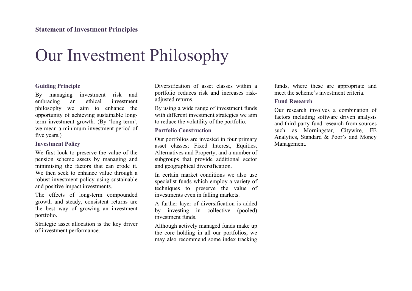# Our Investment Philosophy

# Guiding Principle

By managing investment risk and embracing an ethical investment philosophy we aim to enhance the opportunity of achieving sustainable longterm investment growth. (By 'long-term', we mean a minimum investment period of five years.)

# Investment Policy

We first look to preserve the value of the pension scheme assets by managing and minimising the factors that can erode it. We then seek to enhance value through a robust investment policy using sustainable and positive impact investments.

The effects of long-term compounded growth and steady, consistent returns are the best way of growing an investment portfolio.

Strategic asset allocation is the key driver of investment performance.

Diversification of asset classes within a portfolio reduces risk and increases riskadjusted returns.

By using a wide range of investment funds with different investment strategies we aim to reduce the volatility of the portfolio.

# Portfolio Construction

Our portfolios are invested in four primary asset classes; Fixed Interest, Equities, Alternatives and Property, and a number of subgroups that provide additional sector and geographical diversification.

In certain market conditions we also use specialist funds which employ a variety of techniques to preserve the value of investments even in falling markets.

A further layer of diversification is added by investing in collective (pooled) investment funds.

Although actively managed funds make up the core holding in all our portfolios, we may also recommend some index tracking funds, where these are appropriate and meet the scheme's investment criteria.

# Fund Research

Our research involves a combination of factors including software driven analysis and third party fund research from sources such as Morningstar, Citywire, FE Analytics, Standard & Poor's and Money Management.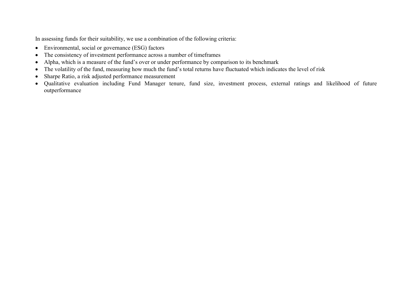In assessing funds for their suitability, we use a combination of the following criteria:

- Environmental, social or governance (ESG) factors
- The consistency of investment performance across a number of timeframes
- Alpha, which is a measure of the fund's over or under performance by comparison to its benchmark
- The volatility of the fund, measuring how much the fund's total returns have fluctuated which indicates the level of risk
- Sharpe Ratio, a risk adjusted performance measurement
- Qualitative evaluation including Fund Manager tenure, fund size, investment process, external ratings and likelihood of future outperformance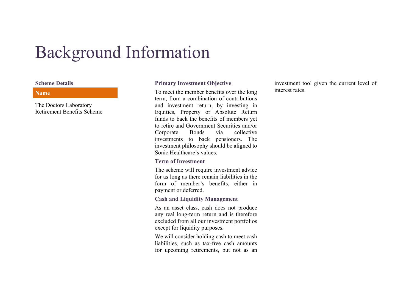# Background Information

#### Name

The Doctors Laboratory Retirement Benefits Scheme

# Scheme Details Primary Investment Objective

To meet the member benefits over the long term, from a combination of contributions and investment return, by investing in Equities, Property or Absolute Return funds to back the benefits of members yet to retire and Government Securities and/or Corporate Bonds via collective investments to back pensioners. The investment philosophy should be aligned to Sonic Healthcare's values.

# Term of Investment

The scheme will require investment advice for as long as there remain liabilities in the form of member's benefits, either in payment or deferred.

# Cash and Liquidity Management

As an asset class, cash does not produce any real long-term return and is therefore excluded from all our investment portfolios except for liquidity purposes.

We will consider holding cash to meet cash liabilities, such as tax-free cash amounts for upcoming retirements, but not as an investment tool given the current level of interest rates.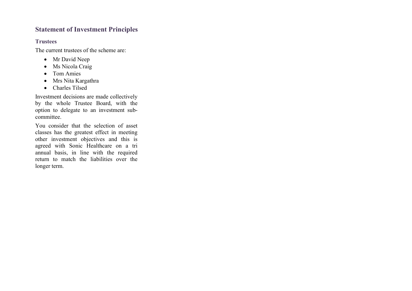# Statement of Investment Principles

# **Trustees**

The current trustees of the scheme are:

- Mr David Neep
- Ms Nicola Craig
- Tom Amies
- Mrs Nita Kargathra
- Charles Tilsed

Investment decisions are made collectively by the whole Trustee Board, with the option to delegate to an investment subcommittee.

You consider that the selection of asset classes has the greatest effect in meeting other investment objectives and this is agreed with Sonic Healthcare on a tri annual basis, in line with the required return to match the liabilities over the longer term.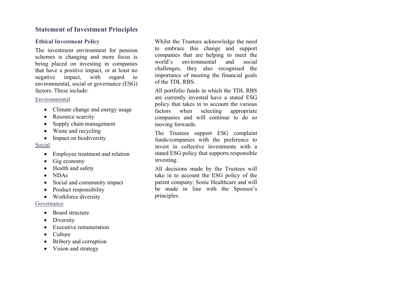# Statement of Investment Principles

# Ethical Investment Policy

The investment environment for pension schemes is changing and more focus is being placed on investing in companies that have a positive impact, or at least no negative impact, with regard to environmental, social or governance (ESG) factors. These include:

### Environmental

- Climate change and energy usage
- Resource scarcity
- Supply chain management
- Waste and recycling
- Impact on biodiversity

# Social

- Employee treatment and relation
- $\bullet$  Gig economy
- Health and safety
- NDAs
- Social and community impact
- Product responsibility
- Workforce diversity

# Governance

- Board structure
- Diversity
- Executive remuneration
- Culture
- Bribery and corruption
- Vision and strategy

Whilst the Trustees acknowledge the need to embrace this change and support companies that are helping to meet the world's environmental and social challenges, they also recognised the importance of meeting the financial goals of the TDL RBS.

All portfolio funds in which the TDL RBS are currently invested have a stated ESG policy that takes in to account the various factors when selecting appropriate companies and will continue to do so moving forwards.

The Trustees support ESG complaint funds/companies with the preference to invest in collective investments with a stated ESG policy that supports responsible investing.

All decisions made by the Trustees will take in to account the ESG policy of the parent company; Sonic Healthcare and will be made in line with the Sponsor's principles.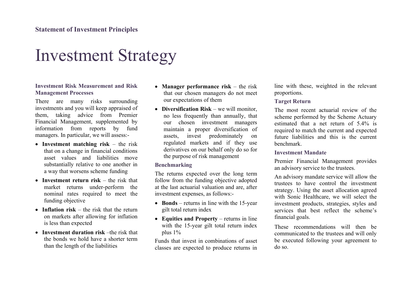# Investment Strategy

# Investment Risk Measurement and Risk Management Processes

There are many risks surrounding investments and you will keep appraised of them, taking advice from Premier Financial Management, supplemented by information from reports by fund managers. In particular, we will assess:-

- Investment matching risk the risk that on a change in financial conditions asset values and liabilities move substantially relative to one another in a way that worsens scheme funding
- Investment return risk the risk that market returns under-perform the nominal rates required to meet the funding objective
- Inflation risk the risk that the return on markets after allowing for inflation is less than expected
- Investment duration risk –the risk that the bonds we hold have a shorter term than the length of the liabilities
- Manager performance risk  $-$  the risk that our chosen managers do not meet our expectations of them
- Diversification Risk we will monitor, no less frequently than annually, that our chosen investment managers maintain a proper diversification of assets, invest predominately on regulated markets and if they use derivatives on our behalf only do so for the purpose of risk management

# Benchmarking

The returns expected over the long term follow from the funding objective adopted at the last actuarial valuation and are, after investment expenses, as follows:-

- Bonds returns in line with the 15-year gilt total return index
- Equities and Property returns in line with the 15-year gilt total return index plus 1%

Funds that invest in combinations of asset classes are expected to produce returns in

line with these, weighted in the relevant proportions.

# Target Return

The most recent actuarial review of the scheme performed by the Scheme Actuary estimated that a net return of 5.4% is required to match the current and expected future liabilities and this is the current benchmark.

# Investment Mandate

Premier Financial Management provides an advisory service to the trustees.

An advisory mandate service will allow the trustees to have control the investment strategy. Using the asset allocation agreed with Sonic Healthcare, we will select the investment products, strategies, styles and services that best reflect the scheme's financial goals.

These recommendations will then be communicated to the trustees and will only be executed following your agreement to do so.